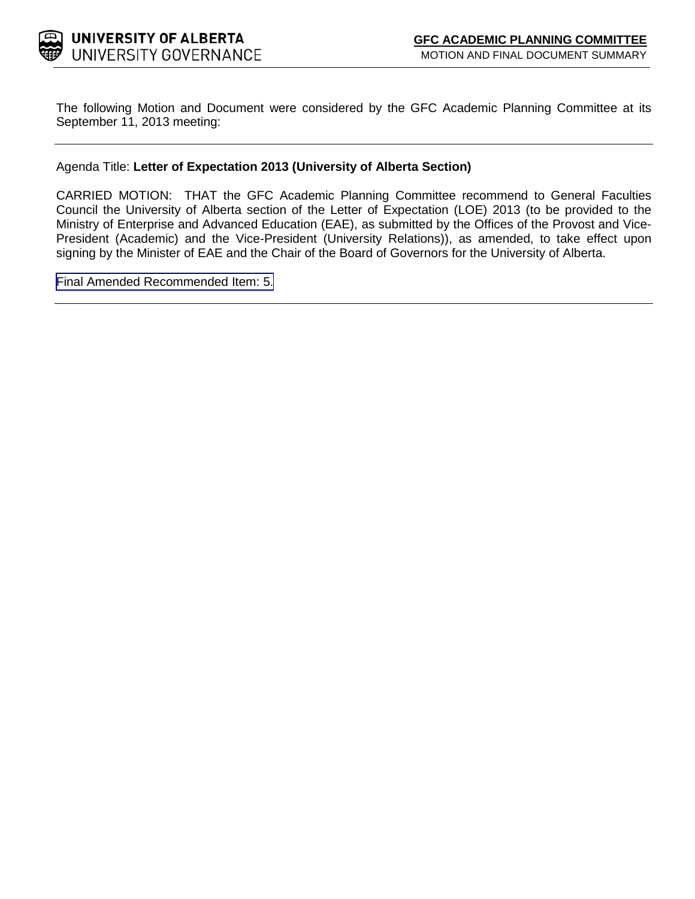

The following Motion and Document were considered by the GFC Academic Planning Committee at its September 11, 2013 meeting:

### Agenda Title: **Letter of Expectation 2013 (University of Alberta Section)**

CARRIED MOTION: THAT the GFC Academic Planning Committee recommend to General Faculties Council the University of Alberta section of the Letter of Expectation (LOE) 2013 (to be provided to the Ministry of Enterprise and Advanced Education (EAE), as submitted by the Offices of the Provost and Vice-President (Academic) and the Vice-President (University Relations)), as amended, to take effect upon signing by the Minister of EAE and the Chair of the Board of Governors for the University of Alberta.

[Final Amended Recommended Item: 5.](#page-1-0)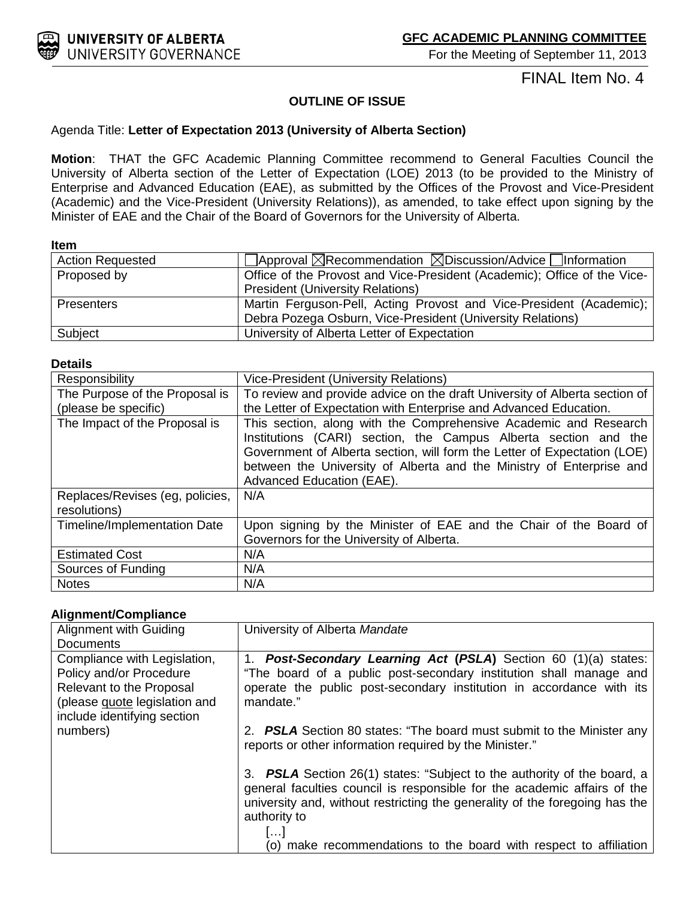<span id="page-1-0"></span>

For the Meeting of September 11, 2013

## FINAL Item No. 4

### **OUTLINE OF ISSUE**

#### Agenda Title: **Letter of Expectation 2013 (University of Alberta Section)**

**Motion**: THAT the GFC Academic Planning Committee recommend to General Faculties Council the University of Alberta section of the Letter of Expectation (LOE) 2013 (to be provided to the Ministry of Enterprise and Advanced Education (EAE), as submitted by the Offices of the Provost and Vice-President (Academic) and the Vice-President (University Relations)), as amended, to take effect upon signing by the Minister of EAE and the Chair of the Board of Governors for the University of Alberta.

#### **Item**

| <b>Action Requested</b> | $\Box$ Approval $\boxtimes$ Recommendation $\boxtimes$ Discussion/Advice $\Box$ Information |
|-------------------------|---------------------------------------------------------------------------------------------|
| Proposed by             | Office of the Provost and Vice-President (Academic); Office of the Vice-                    |
|                         | <b>President (University Relations)</b>                                                     |
| <b>Presenters</b>       | Martin Ferguson-Pell, Acting Provost and Vice-President (Academic);                         |
|                         | Debra Pozega Osburn, Vice-President (University Relations)                                  |
| Subject                 | University of Alberta Letter of Expectation                                                 |

#### **Details**

| Responsibility                                  | <b>Vice-President (University Relations)</b>                                                                                                                                                                                                                                                                         |
|-------------------------------------------------|----------------------------------------------------------------------------------------------------------------------------------------------------------------------------------------------------------------------------------------------------------------------------------------------------------------------|
| The Purpose of the Proposal is                  | To review and provide advice on the draft University of Alberta section of                                                                                                                                                                                                                                           |
| (please be specific)                            | the Letter of Expectation with Enterprise and Advanced Education.                                                                                                                                                                                                                                                    |
| The Impact of the Proposal is                   | This section, along with the Comprehensive Academic and Research<br>Institutions (CARI) section, the Campus Alberta section and the<br>Government of Alberta section, will form the Letter of Expectation (LOE)<br>between the University of Alberta and the Ministry of Enterprise and<br>Advanced Education (EAE). |
| Replaces/Revises (eg, policies,<br>resolutions) | N/A                                                                                                                                                                                                                                                                                                                  |
| Timeline/Implementation Date                    | Upon signing by the Minister of EAE and the Chair of the Board of<br>Governors for the University of Alberta.                                                                                                                                                                                                        |
| <b>Estimated Cost</b>                           | N/A                                                                                                                                                                                                                                                                                                                  |
| Sources of Funding                              | N/A                                                                                                                                                                                                                                                                                                                  |
| <b>Notes</b>                                    | N/A                                                                                                                                                                                                                                                                                                                  |

#### **Alignment/Compliance**

| Alignment with Guiding                                                                                                                              | University of Alberta Mandate                                                                                                                                                                                                                      |
|-----------------------------------------------------------------------------------------------------------------------------------------------------|----------------------------------------------------------------------------------------------------------------------------------------------------------------------------------------------------------------------------------------------------|
| <b>Documents</b>                                                                                                                                    |                                                                                                                                                                                                                                                    |
| Compliance with Legislation,<br>Policy and/or Procedure<br>Relevant to the Proposal<br>(please quote legislation and<br>include identifying section | <b>Post-Secondary Learning Act (PSLA)</b> Section 60 (1)(a) states:<br>1.<br>"The board of a public post-secondary institution shall manage and<br>operate the public post-secondary institution in accordance with its<br>mandate."               |
| numbers)                                                                                                                                            | 2. <b>PSLA</b> Section 80 states: "The board must submit to the Minister any<br>reports or other information required by the Minister."                                                                                                            |
|                                                                                                                                                     | 3. PSLA Section 26(1) states: "Subject to the authority of the board, a<br>general faculties council is responsible for the academic affairs of the<br>university and, without restricting the generality of the foregoing has the<br>authority to |
|                                                                                                                                                     | l I<br>(o) make recommendations to the board with respect to affiliation                                                                                                                                                                           |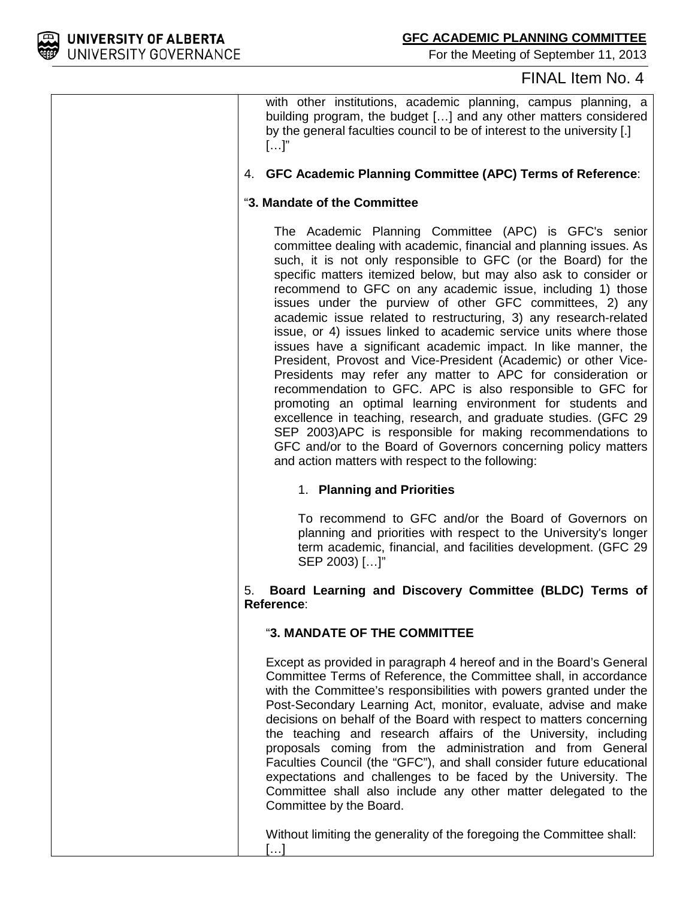

For the Meeting of September 11, 2013

## FINAL Item No. 4

with other institutions, academic planning, campus planning, a building program, the budget […] and any other matters considered by the general faculties council to be of interest to the university [.]  $[\ldots]$ "

## 4. **GFC Academic Planning Committee (APC) Terms of Reference**:

#### "**3. Mandate of the Committee**

The Academic Planning Committee (APC) is GFC's senior committee dealing with academic, financial and planning issues. As such, it is not only responsible to GFC (or the Board) for the specific matters itemized below, but may also ask to consider or recommend to GFC on any academic issue, including 1) those issues under the purview of other GFC committees, 2) any academic issue related to restructuring, 3) any research-related issue, or 4) issues linked to academic service units where those issues have a significant academic impact. In like manner, the President, Provost and Vice-President (Academic) or other Vice-Presidents may refer any matter to APC for consideration or recommendation to GFC. APC is also responsible to GFC for promoting an optimal learning environment for students and excellence in teaching, research, and graduate studies. (GFC 29 SEP 2003)APC is responsible for making recommendations to GFC and/or to the Board of Governors concerning policy matters and action matters with respect to the following:

## 1. **Planning and Priorities**

To recommend to GFC and/or the Board of Governors on planning and priorities with respect to the University's longer term academic, financial, and facilities development. (GFC 29 SEP 2003) […]"

#### 5. **Board Learning and Discovery Committee (BLDC) Terms of Reference**:

#### "**3. MANDATE OF THE COMMITTEE**

Except as provided in paragraph 4 hereof and in the Board's General Committee Terms of Reference, the Committee shall, in accordance with the Committee's responsibilities with powers granted under the Post-Secondary Learning Act, monitor, evaluate, advise and make decisions on behalf of the Board with respect to matters concerning the teaching and research affairs of the University, including proposals coming from the administration and from General Faculties Council (the "GFC"), and shall consider future educational expectations and challenges to be faced by the University. The Committee shall also include any other matter delegated to the Committee by the Board.

Without limiting the generality of the foregoing the Committee shall:

[…]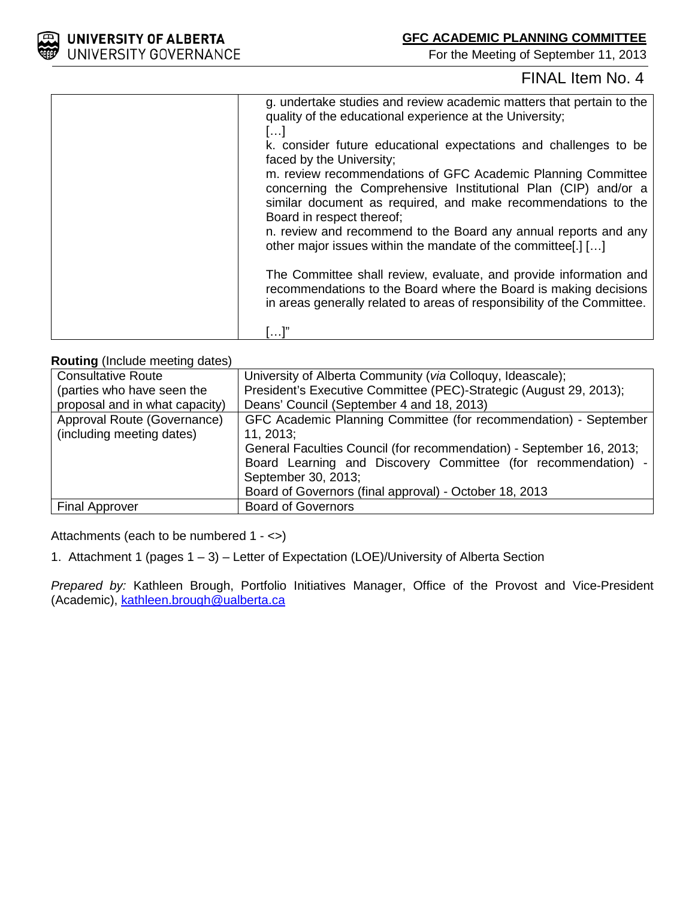For the Meeting of September 11, 2013

# FINAL Item No. 4

| g. undertake studies and review academic matters that pertain to the<br>quality of the educational experience at the University;<br>[]                                                                                       |
|------------------------------------------------------------------------------------------------------------------------------------------------------------------------------------------------------------------------------|
| k. consider future educational expectations and challenges to be<br>faced by the University;                                                                                                                                 |
| m. review recommendations of GFC Academic Planning Committee<br>concerning the Comprehensive Institutional Plan (CIP) and/or a<br>similar document as required, and make recommendations to the<br>Board in respect thereof; |
| n. review and recommend to the Board any annual reports and any<br>other major issues within the mandate of the committee.                                                                                                   |
| The Committee shall review, evaluate, and provide information and<br>recommendations to the Board where the Board is making decisions<br>in areas generally related to areas of responsibility of the Committee.             |
|                                                                                                                                                                                                                              |

### **Routing** (Include meeting dates)

| <b>Consultative Route</b>      | University of Alberta Community (via Colloquy, Ideascale);           |
|--------------------------------|----------------------------------------------------------------------|
| (parties who have seen the     | President's Executive Committee (PEC)-Strategic (August 29, 2013);   |
| proposal and in what capacity) | Deans' Council (September 4 and 18, 2013)                            |
| Approval Route (Governance)    | GFC Academic Planning Committee (for recommendation) - September     |
| (including meeting dates)      | 11, 2013                                                             |
|                                | General Faculties Council (for recommendation) - September 16, 2013; |
|                                | Board Learning and Discovery Committee (for recommendation) -        |
|                                | September 30, 2013;                                                  |
|                                | Board of Governors (final approval) - October 18, 2013               |
| <b>Final Approver</b>          | <b>Board of Governors</b>                                            |

Attachments (each to be numbered 1 - <>)

1. Attachment 1 (pages 1 – 3) – Letter of Expectation (LOE)/University of Alberta Section

*Prepared by:* Kathleen Brough, Portfolio Initiatives Manager, Office of the Provost and Vice-President (Academic), [kathleen.brough@ualberta.ca](mailto:kathleen.brough@ualberta.ca)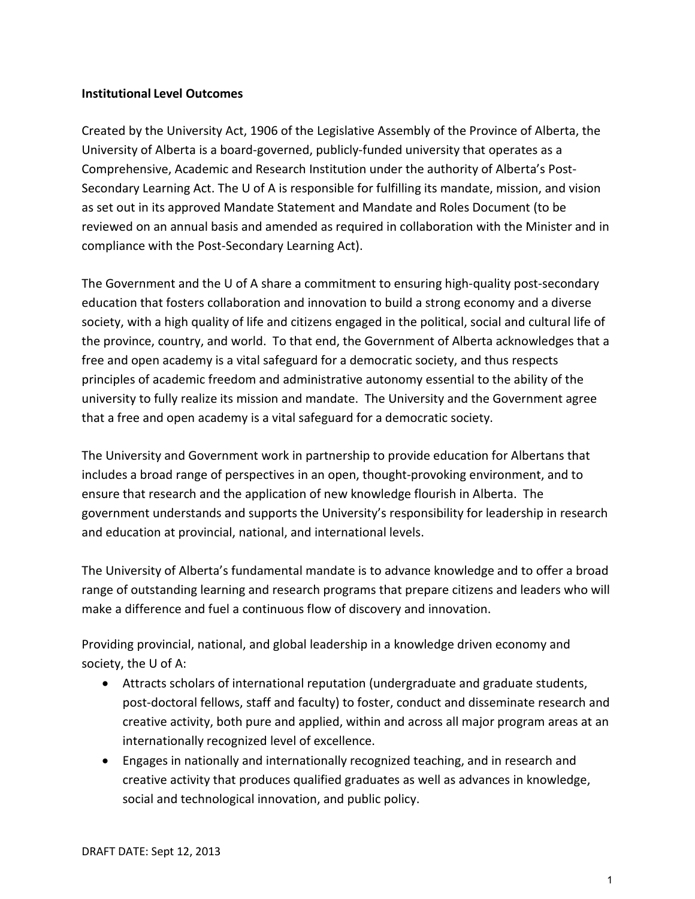## **Institutional Level Outcomes**

Created by the University Act, 1906 of the Legislative Assembly of the Province of Alberta, the University of Alberta is a board-governed, publicly-funded university that operates as a Comprehensive, Academic and Research Institution under the authority of Alberta's Post-Secondary Learning Act. The U of A is responsible for fulfilling its mandate, mission, and vision as set out in its approved Mandate Statement and Mandate and Roles Document (to be reviewed on an annual basis and amended as required in collaboration with the Minister and in compliance with the Post-Secondary Learning Act).

The Government and the U of A share a commitment to ensuring high-quality post-secondary education that fosters collaboration and innovation to build a strong economy and a diverse society, with a high quality of life and citizens engaged in the political, social and cultural life of the province, country, and world. To that end, the Government of Alberta acknowledges that a free and open academy is a vital safeguard for a democratic society, and thus respects principles of academic freedom and administrative autonomy essential to the ability of the university to fully realize its mission and mandate. The University and the Government agree that a free and open academy is a vital safeguard for a democratic society.

The University and Government work in partnership to provide education for Albertans that includes a broad range of perspectives in an open, thought-provoking environment, and to ensure that research and the application of new knowledge flourish in Alberta. The government understands and supports the University's responsibility for leadership in research and education at provincial, national, and international levels.

The University of Alberta's fundamental mandate is to advance knowledge and to offer a broad range of outstanding learning and research programs that prepare citizens and leaders who will make a difference and fuel a continuous flow of discovery and innovation.

Providing provincial, national, and global leadership in a knowledge driven economy and society, the U of A:

- Attracts scholars of international reputation (undergraduate and graduate students, post-doctoral fellows, staff and faculty) to foster, conduct and disseminate research and creative activity, both pure and applied, within and across all major program areas at an internationally recognized level of excellence.
- Engages in nationally and internationally recognized teaching, and in research and creative activity that produces qualified graduates as well as advances in knowledge, social and technological innovation, and public policy.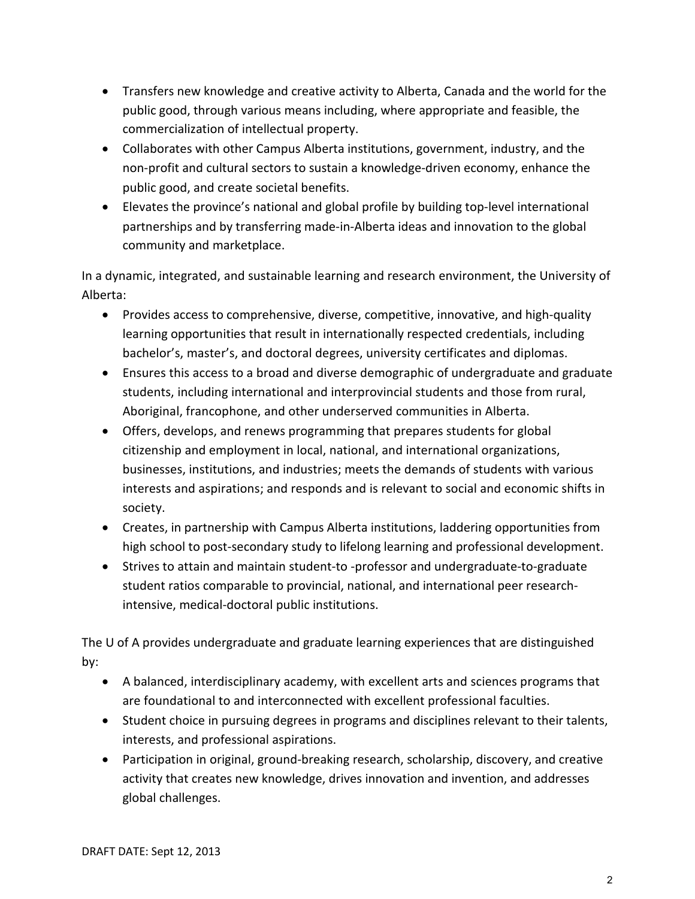- Transfers new knowledge and creative activity to Alberta, Canada and the world for the public good, through various means including, where appropriate and feasible, the commercialization of intellectual property.
- Collaborates with other Campus Alberta institutions, government, industry, and the non-profit and cultural sectors to sustain a knowledge-driven economy, enhance the public good, and create societal benefits.
- Elevates the province's national and global profile by building top-level international partnerships and by transferring made-in-Alberta ideas and innovation to the global community and marketplace.

In a dynamic, integrated, and sustainable learning and research environment, the University of Alberta:

- Provides access to comprehensive, diverse, competitive, innovative, and high-quality learning opportunities that result in internationally respected credentials, including bachelor's, master's, and doctoral degrees, university certificates and diplomas.
- Ensures this access to a broad and diverse demographic of undergraduate and graduate students, including international and interprovincial students and those from rural, Aboriginal, francophone, and other underserved communities in Alberta.
- Offers, develops, and renews programming that prepares students for global citizenship and employment in local, national, and international organizations, businesses, institutions, and industries; meets the demands of students with various interests and aspirations; and responds and is relevant to social and economic shifts in society.
- Creates, in partnership with Campus Alberta institutions, laddering opportunities from high school to post-secondary study to lifelong learning and professional development.
- Strives to attain and maintain student-to -professor and undergraduate-to-graduate student ratios comparable to provincial, national, and international peer researchintensive, medical-doctoral public institutions.

The U of A provides undergraduate and graduate learning experiences that are distinguished by:

- A balanced, interdisciplinary academy, with excellent arts and sciences programs that are foundational to and interconnected with excellent professional faculties.
- Student choice in pursuing degrees in programs and disciplines relevant to their talents, interests, and professional aspirations.
- Participation in original, ground-breaking research, scholarship, discovery, and creative activity that creates new knowledge, drives innovation and invention, and addresses global challenges.